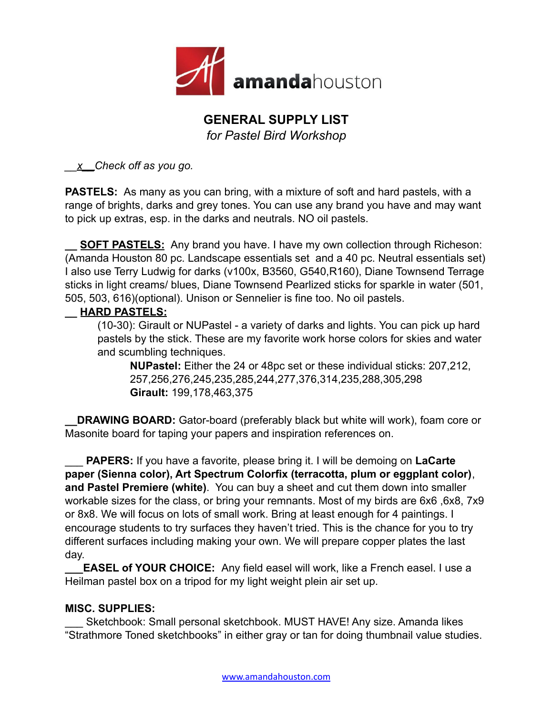

## **GENERAL SUPPLY LIST**

*for Pastel Bird Workshop*

*\_\_x\_\_Check off as you go.*

**PASTELS:** As many as you can bring, with a mixture of soft and hard pastels, with a range of brights, darks and grey tones. You can use any brand you have and may want to pick up extras, esp. in the darks and neutrals. NO oil pastels.

**SOFT PASTELS:** Any brand you have. I have my own collection through Richeson: (Amanda Houston 80 pc. Landscape essentials set and a 40 pc. Neutral essentials set) I also use Terry Ludwig for darks (v100x, B3560, G540,R160), Diane Townsend Terrage sticks in light creams/ blues, Diane Townsend Pearlized sticks for sparkle in water (501, 505, 503, 616)(optional). Unison or Sennelier is fine too. No oil pastels.

## **\_\_ HARD PASTELS:**

(10-30): Girault or NUPastel - a variety of darks and lights. You can pick up hard pastels by the stick. These are my favorite work horse colors for skies and water and scumbling techniques.

**NUPastel:** Either the 24 or 48pc set or these individual sticks: 207,212, 257,256,276,245,235,285,244,277,376,314,235,288,305,298 **Girault:** 199,178,463,375

**DRAWING BOARD:** Gator-board (preferably black but white will work), foam core or Masonite board for taping your papers and inspiration references on.

**PAPERS:** If you have a favorite, please bring it. I will be demoing on **LaCarte paper (Sienna color), Art Spectrum Colorfix (terracotta, plum or eggplant color)**, **and Pastel Premiere (white)**. You can buy a sheet and cut them down into smaller workable sizes for the class, or bring your remnants. Most of my birds are 6x6 ,6x8, 7x9 or 8x8. We will focus on lots of small work. Bring at least enough for 4 paintings. I encourage students to try surfaces they haven't tried. This is the chance for you to try different surfaces including making your own. We will prepare copper plates the last day.

**EASEL of YOUR CHOICE:** Any field easel will work, like a French easel. I use a Heilman pastel box on a tripod for my light weight plein air set up.

## **MISC. SUPPLIES:**

Sketchbook: Small personal sketchbook. MUST HAVE! Any size. Amanda likes "Strathmore Toned sketchbooks" in either gray or tan for doing thumbnail value studies.